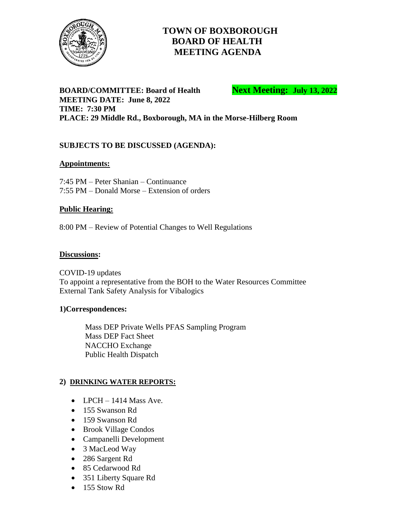

# **TOWN OF BOXBOROUGH BOARD OF HEALTH MEETING AGENDA**

**BOARD/COMMITTEE: Board of Health <b>Next Meeting: July 13, 2022 MEETING DATE: June 8, 2022 TIME: 7:30 PM PLACE: 29 Middle Rd., Boxborough, MA in the Morse-Hilberg Room**

## **SUBJECTS TO BE DISCUSSED (AGENDA):**

#### **Appointments:**

7:45 PM – Peter Shanian – Continuance 7:55 PM – Donald Morse – Extension of orders

#### **Public Hearing:**

8:00 PM – Review of Potential Changes to Well Regulations

#### **Discussions:**

COVID-19 updates To appoint a representative from the BOH to the Water Resources Committee External Tank Safety Analysis for Vibalogics

#### **1)Correspondences:**

Mass DEP Private Wells PFAS Sampling Program Mass DEP Fact Sheet NACCHO Exchange Public Health Dispatch

### **2) DRINKING WATER REPORTS:**

- LPCH 1414 Mass Ave.
- 155 Swanson Rd
- 159 Swanson Rd
- Brook Village Condos
- Campanelli Development
- 3 MacLeod Way
- 286 Sargent Rd
- 85 Cedarwood Rd
- 351 Liberty Square Rd
- $\bullet$  155 Stow Rd